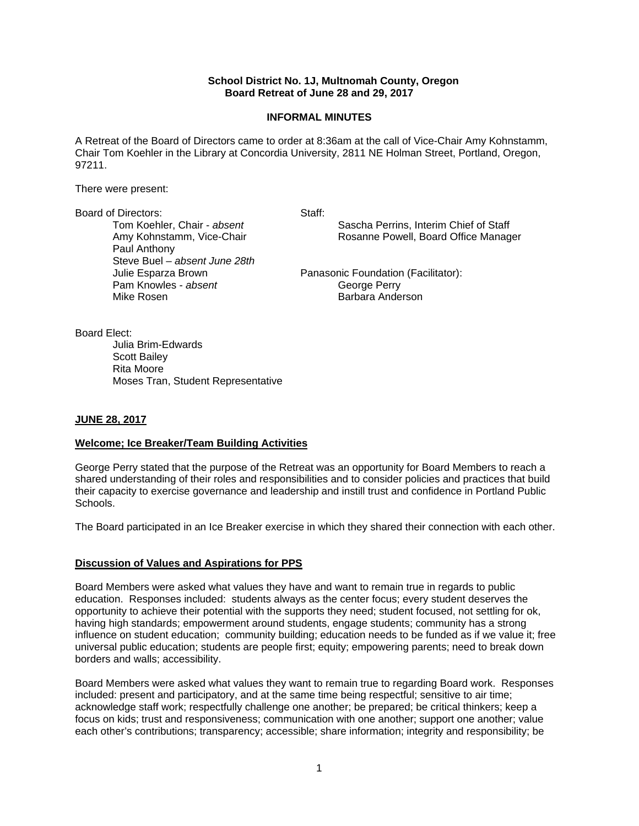### **School District No. 1J, Multnomah County, Oregon Board Retreat of June 28 and 29, 2017**

### **INFORMAL MINUTES**

A Retreat of the Board of Directors came to order at 8:36am at the call of Vice-Chair Amy Kohnstamm, Chair Tom Koehler in the Library at Concordia University, 2811 NE Holman Street, Portland, Oregon, 97211.

There were present:

Board of Directors: Staff: Staff: Staff: Staff: Staff: Staff: Staff: Staff: Staff: Staff: Staff: Staff: Staff: Staff: Staff: Staff: Staff: Staff: Staff: Staff: Staff: Staff: Staff: Staff: Staff: Staff: Staff: Staff: Staff: Paul Anthony Steve Buel – *absent June 28th* Pam Knowles - *absent* George Perry Mike Rosen **Barbara Anderson** 

Sascha Perrins, Interim Chief of Staff Amy Kohnstamm, Vice-Chair **Rosanne Powell, Board Office Manager** 

Julie Esparza Brown Panasonic Foundation (Facilitator):

Board Elect:

 Julia Brim-Edwards Scott Bailey Rita Moore Moses Tran, Student Representative

## **JUNE 28, 2017**

### **Welcome; Ice Breaker/Team Building Activities**

George Perry stated that the purpose of the Retreat was an opportunity for Board Members to reach a shared understanding of their roles and responsibilities and to consider policies and practices that build their capacity to exercise governance and leadership and instill trust and confidence in Portland Public Schools.

The Board participated in an Ice Breaker exercise in which they shared their connection with each other.

### **Discussion of Values and Aspirations for PPS**

Board Members were asked what values they have and want to remain true in regards to public education. Responses included: students always as the center focus; every student deserves the opportunity to achieve their potential with the supports they need; student focused, not settling for ok, having high standards; empowerment around students, engage students; community has a strong influence on student education; community building; education needs to be funded as if we value it; free universal public education; students are people first; equity; empowering parents; need to break down borders and walls; accessibility.

Board Members were asked what values they want to remain true to regarding Board work. Responses included: present and participatory, and at the same time being respectful; sensitive to air time; acknowledge staff work; respectfully challenge one another; be prepared; be critical thinkers; keep a focus on kids; trust and responsiveness; communication with one another; support one another; value each other's contributions; transparency; accessible; share information; integrity and responsibility; be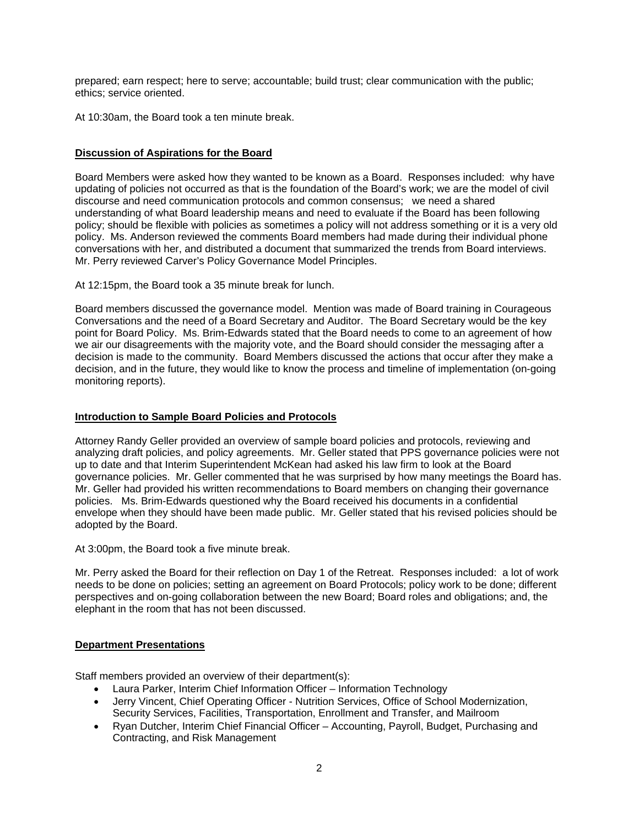prepared; earn respect; here to serve; accountable; build trust; clear communication with the public; ethics; service oriented.

At 10:30am, the Board took a ten minute break.

# **Discussion of Aspirations for the Board**

Board Members were asked how they wanted to be known as a Board. Responses included: why have updating of policies not occurred as that is the foundation of the Board's work; we are the model of civil discourse and need communication protocols and common consensus; we need a shared understanding of what Board leadership means and need to evaluate if the Board has been following policy; should be flexible with policies as sometimes a policy will not address something or it is a very old policy. Ms. Anderson reviewed the comments Board members had made during their individual phone conversations with her, and distributed a document that summarized the trends from Board interviews. Mr. Perry reviewed Carver's Policy Governance Model Principles.

At 12:15pm, the Board took a 35 minute break for lunch.

Board members discussed the governance model. Mention was made of Board training in Courageous Conversations and the need of a Board Secretary and Auditor. The Board Secretary would be the key point for Board Policy. Ms. Brim-Edwards stated that the Board needs to come to an agreement of how we air our disagreements with the majority vote, and the Board should consider the messaging after a decision is made to the community. Board Members discussed the actions that occur after they make a decision, and in the future, they would like to know the process and timeline of implementation (on-going monitoring reports).

## **Introduction to Sample Board Policies and Protocols**

Attorney Randy Geller provided an overview of sample board policies and protocols, reviewing and analyzing draft policies, and policy agreements. Mr. Geller stated that PPS governance policies were not up to date and that Interim Superintendent McKean had asked his law firm to look at the Board governance policies. Mr. Geller commented that he was surprised by how many meetings the Board has. Mr. Geller had provided his written recommendations to Board members on changing their governance policies. Ms. Brim-Edwards questioned why the Board received his documents in a confidential envelope when they should have been made public. Mr. Geller stated that his revised policies should be adopted by the Board.

At 3:00pm, the Board took a five minute break.

Mr. Perry asked the Board for their reflection on Day 1 of the Retreat. Responses included: a lot of work needs to be done on policies; setting an agreement on Board Protocols; policy work to be done; different perspectives and on-going collaboration between the new Board; Board roles and obligations; and, the elephant in the room that has not been discussed.

# **Department Presentations**

Staff members provided an overview of their department(s):

- Laura Parker, Interim Chief Information Officer Information Technology
- Jerry Vincent, Chief Operating Officer Nutrition Services, Office of School Modernization, Security Services, Facilities, Transportation, Enrollment and Transfer, and Mailroom
- Ryan Dutcher, Interim Chief Financial Officer Accounting, Payroll, Budget, Purchasing and Contracting, and Risk Management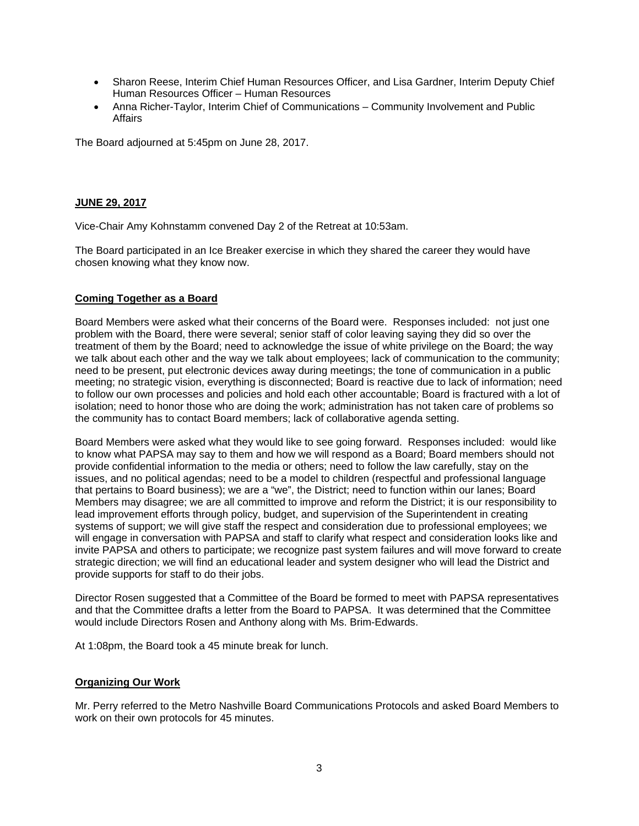- Sharon Reese, Interim Chief Human Resources Officer, and Lisa Gardner, Interim Deputy Chief Human Resources Officer – Human Resources
- Anna Richer-Taylor, Interim Chief of Communications Community Involvement and Public Affairs

The Board adjourned at 5:45pm on June 28, 2017.

## **JUNE 29, 2017**

Vice-Chair Amy Kohnstamm convened Day 2 of the Retreat at 10:53am.

The Board participated in an Ice Breaker exercise in which they shared the career they would have chosen knowing what they know now.

# **Coming Together as a Board**

Board Members were asked what their concerns of the Board were. Responses included: not just one problem with the Board, there were several; senior staff of color leaving saying they did so over the treatment of them by the Board; need to acknowledge the issue of white privilege on the Board; the way we talk about each other and the way we talk about employees; lack of communication to the community; need to be present, put electronic devices away during meetings; the tone of communication in a public meeting; no strategic vision, everything is disconnected; Board is reactive due to lack of information; need to follow our own processes and policies and hold each other accountable; Board is fractured with a lot of isolation; need to honor those who are doing the work; administration has not taken care of problems so the community has to contact Board members; lack of collaborative agenda setting.

Board Members were asked what they would like to see going forward. Responses included: would like to know what PAPSA may say to them and how we will respond as a Board; Board members should not provide confidential information to the media or others; need to follow the law carefully, stay on the issues, and no political agendas; need to be a model to children (respectful and professional language that pertains to Board business); we are a "we", the District; need to function within our lanes; Board Members may disagree; we are all committed to improve and reform the District; it is our responsibility to lead improvement efforts through policy, budget, and supervision of the Superintendent in creating systems of support; we will give staff the respect and consideration due to professional employees; we will engage in conversation with PAPSA and staff to clarify what respect and consideration looks like and invite PAPSA and others to participate; we recognize past system failures and will move forward to create strategic direction; we will find an educational leader and system designer who will lead the District and provide supports for staff to do their jobs.

Director Rosen suggested that a Committee of the Board be formed to meet with PAPSA representatives and that the Committee drafts a letter from the Board to PAPSA. It was determined that the Committee would include Directors Rosen and Anthony along with Ms. Brim-Edwards.

At 1:08pm, the Board took a 45 minute break for lunch.

### **Organizing Our Work**

Mr. Perry referred to the Metro Nashville Board Communications Protocols and asked Board Members to work on their own protocols for 45 minutes.